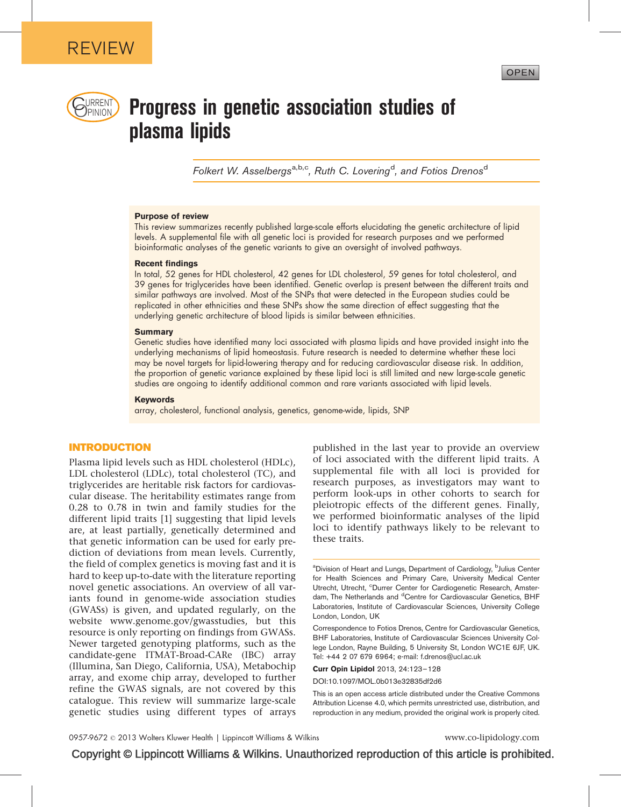

# $\mathbb{C}_{\mathbb{P}(\mathbb{N}\cup\mathbb{N})}$  Progress in genetic association studies of plasma lipids

Folkert W. Asselbergs<sup>a,b,c</sup>, Ruth C. Lovering<sup>d</sup>, and Fotios Drenos<sup>d</sup>

#### Purpose of review

This review summarizes recently published large-scale efforts elucidating the genetic architecture of lipid levels. A supplemental file with all genetic loci is provided for research purposes and we performed bioinformatic analyses of the genetic variants to give an oversight of involved pathways.

#### Recent findings

In total, 52 genes for HDL cholesterol, 42 genes for LDL cholesterol, 59 genes for total cholesterol, and 39 genes for triglycerides have been identified. Genetic overlap is present between the different traits and similar pathways are involved. Most of the SNPs that were detected in the European studies could be replicated in other ethnicities and these SNPs show the same direction of effect suggesting that the underlying genetic architecture of blood lipids is similar between ethnicities.

#### Summary

Genetic studies have identified many loci associated with plasma lipids and have provided insight into the underlying mechanisms of lipid homeostasis. Future research is needed to determine whether these loci may be novel targets for lipid-lowering therapy and for reducing cardiovascular disease risk. In addition, the proportion of genetic variance explained by these lipid loci is still limited and new large-scale genetic studies are ongoing to identify additional common and rare variants associated with lipid levels.

#### Keywords

array, cholesterol, functional analysis, genetics, genome-wide, lipids, SNP

### INTRODUCTION

Plasma lipid levels such as HDL cholesterol (HDLc), LDL cholesterol (LDLc), total cholesterol (TC), and triglycerides are heritable risk factors for cardiovascular disease. The heritability estimates range from 0.28 to 0.78 in twin and family studies for the different lipid traits [\[1\]](#page-5-0) suggesting that lipid levels are, at least partially, genetically determined and that genetic information can be used for early prediction of deviations from mean levels. Currently, the field of complex genetics is moving fast and it is hard to keep up-to-date with the literature reporting novel genetic associations. An overview of all variants found in genome-wide association studies (GWASs) is given, and updated regularly, on the website www.genome.gov/gwasstudies, but this resource is only reporting on findings from GWASs. Newer targeted genotyping platforms, such as the candidate-gene ITMAT-Broad-CARe (IBC) array (Illumina, San Diego, California, USA), Metabochip array, and exome chip array, developed to further refine the GWAS signals, are not covered by this catalogue. This review will summarize large-scale genetic studies using different types of arrays

published in the last year to provide an overview of loci associated with the different lipid traits. A supplemental file with all loci is provided for research purposes, as investigators may want to perform look-ups in other cohorts to search for pleiotropic effects of the different genes. Finally, we performed bioinformatic analyses of the lipid loci to identify pathways likely to be relevant to these traits.

Curr Opin Lipidol 2013, 24:123–128

DOI:10.1097/MOL.0b013e32835df2d6

<sup>&</sup>lt;sup>a</sup>Division of Heart and Lungs, Department of Cardiology, <sup>b</sup>Julius Center for Health Sciences and Primary Care, University Medical Center Utrecht, Utrecht, <sup>c</sup>Durrer Center for Cardiogenetic Research, Amsterdam, The Netherlands and <sup>d</sup>Centre for Cardiovascular Genetics, BHF Laboratories, Institute of Cardiovascular Sciences, University College London, London, UK

Correspondence to Fotios Drenos, Centre for Cardiovascular Genetics, BHF Laboratories, Institute of Cardiovascular Sciences University College London, Rayne Building, 5 University St, London WC1E 6JF, UK. Tel: +44 2 07 679 6964; e-mail: [f.drenos@ucl.ac.uk](mailto:f.drenos@ucl.ac.uk)

This is an open access article distributed under the Creative Commons Attribution License 4.0, which permits unrestricted use, distribution, and reproduction in any medium, provided the original work is properly cited.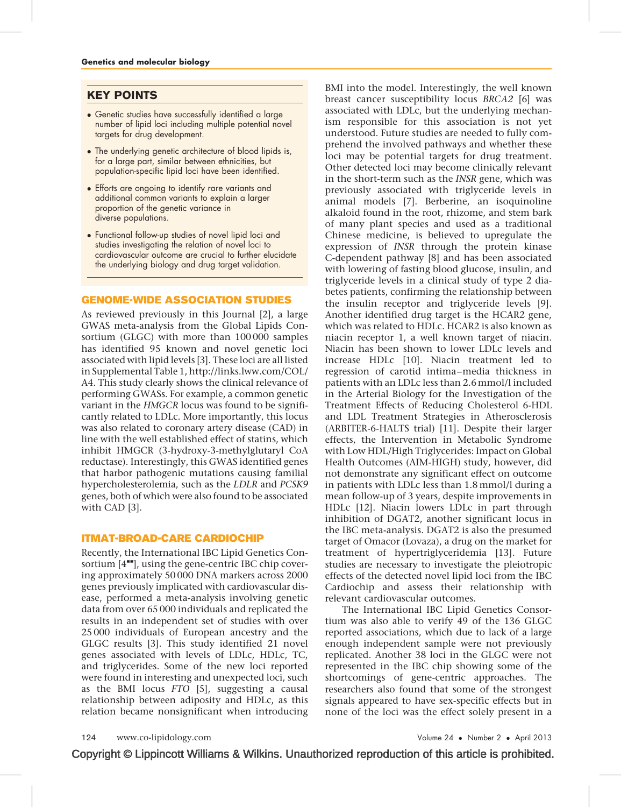## KEY POINTS

- Genetic studies have successfully identified a large number of lipid loci including multiple potential novel targets for drug development.
- The underlying genetic architecture of blood lipids is, for a large part, similar between ethnicities, but population-specific lipid loci have been identified.
- Efforts are ongoing to identify rare variants and additional common variants to explain a larger proportion of the genetic variance in diverse populations.
- Functional follow-up studies of novel lipid loci and studies investigating the relation of novel loci to cardiovascular outcome are crucial to further elucidate the underlying biology and drug target validation.

## GENOME-WIDE ASSOCIATION STUDIES

As reviewed previously in this Journal [\[2\],](#page-5-0) a large GWAS meta-analysis from the Global Lipids Consortium (GLGC) with more than 100 000 samples has identified 95 known and novel genetic loci associated with lipid levels [\[3\].](#page-5-0) These loci are all listed in Supplemental Table 1, [http://links.lww.com/COL/](http://links.lww.com/COL/A4) [A4](http://links.lww.com/COL/A4). This study clearly shows the clinical relevance of performing GWASs. For example, a common genetic variant in the HMGCR locus was found to be significantly related to LDLc. More importantly, this locus was also related to coronary artery disease (CAD) in line with the well established effect of statins, which inhibit HMGCR (3-hydroxy-3-methylglutaryl CoA reductase). Interestingly, this GWAS identified genes that harbor pathogenic mutations causing familial hypercholesterolemia, such as the LDLR and PCSK9 genes, both of which were also found to be associated with CAD [\[3\].](#page-5-0)

### ITMAT-BROAD-CARE CARDIOCHIP

Recently, the International IBC Lipid Genetics Consortium  $[4^{\bullet\bullet}]$  $[4^{\bullet\bullet}]$  $[4^{\bullet\bullet}]$ , using the gene-centric IBC chip covering approximately 50 000 DNA markers across 2000 genes previously implicated with cardiovascular disease, performed a meta-analysis involving genetic data from over 65 000 individuals and replicated the results in an independent set of studies with over 25 000 individuals of European ancestry and the GLGC results [\[3\].](#page-5-0) This study identified 21 novel genes associated with levels of LDLc, HDLc, TC, and triglycerides. Some of the new loci reported were found in interesting and unexpected loci, such as the BMI locus FTO [\[5\]](#page-5-0), suggesting a causal relationship between adiposity and HDLc, as this relation became nonsignificant when introducing

BMI into the model. Interestingly, the well known breast cancer susceptibility locus BRCA2 [\[6\]](#page-5-0) was associated with LDLc, but the underlying mechanism responsible for this association is not yet understood. Future studies are needed to fully comprehend the involved pathways and whether these loci may be potential targets for drug treatment. Other detected loci may become clinically relevant in the short-term such as the INSR gene, which was previously associated with triglyceride levels in animal models [\[7\]](#page-5-0). Berberine, an isoquinoline alkaloid found in the root, rhizome, and stem bark of many plant species and used as a traditional Chinese medicine, is believed to upregulate the expression of INSR through the protein kinase C-dependent pathway [\[8\]](#page-5-0) and has been associated with lowering of fasting blood glucose, insulin, and triglyceride levels in a clinical study of type 2 diabetes patients, confirming the relationship between the insulin receptor and triglyceride levels [\[9\].](#page-5-0) Another identified drug target is the HCAR2 gene, which was related to HDLc. HCAR2 is also known as niacin receptor 1, a well known target of niacin. Niacin has been shown to lower LDLc levels and increase HDLc [\[10\].](#page-5-0) Niacin treatment led to regression of carotid intima–media thickness in patients with an LDLc less than 2.6 mmol/l included in the Arterial Biology for the Investigation of the Treatment Effects of Reducing Cholesterol 6-HDL and LDL Treatment Strategies in Atherosclerosis (ARBITER-6-HALTS trial) [\[11\].](#page-5-0) Despite their larger effects, the Intervention in Metabolic Syndrome with Low HDL/High Triglycerides: Impact on Global Health Outcomes (AIM-HIGH) study, however, did not demonstrate any significant effect on outcome in patients with LDLc less than 1.8 mmol/l during a mean follow-up of 3 years, despite improvements in HDLc [\[12\]](#page-5-0). Niacin lowers LDLc in part through inhibition of DGAT2, another significant locus in the IBC meta-analysis. DGAT2 is also the presumed target of Omacor (Lovaza), a drug on the market for treatment of hypertriglyceridemia [\[13\]](#page-5-0). Future studies are necessary to investigate the pleiotropic effects of the detected novel lipid loci from the IBC Cardiochip and assess their relationship with relevant cardiovascular outcomes.

The International IBC Lipid Genetics Consortium was also able to verify 49 of the 136 GLGC reported associations, which due to lack of a large enough independent sample were not previously replicated. Another 38 loci in the GLGC were not represented in the IBC chip showing some of the shortcomings of gene-centric approaches. The researchers also found that some of the strongest signals appeared to have sex-specific effects but in none of the loci was the effect solely present in a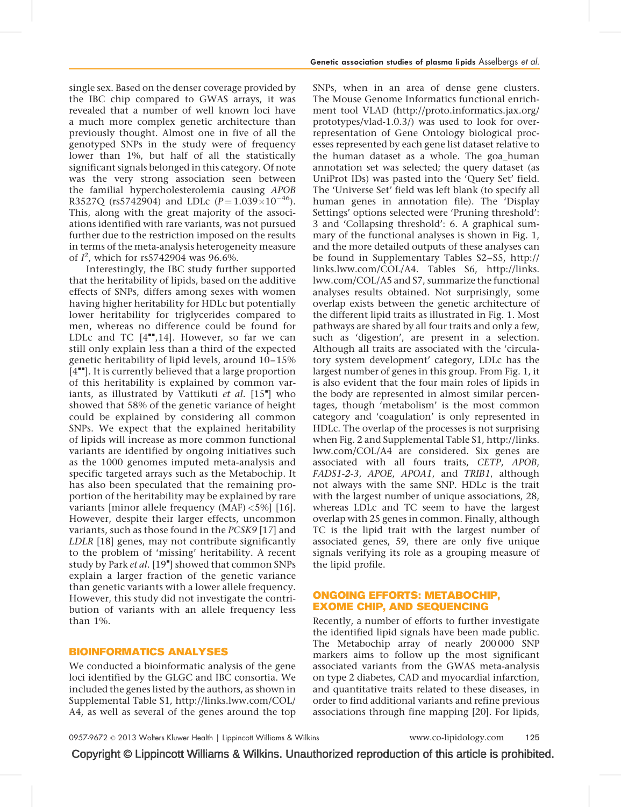single sex. Based on the denser coverage provided by the IBC chip compared to GWAS arrays, it was revealed that a number of well known loci have a much more complex genetic architecture than previously thought. Almost one in five of all the genotyped SNPs in the study were of frequency lower than 1%, but half of all the statistically significant signals belonged in this category. Of note was the very strong association seen between the familial hypercholesterolemia causing APOB R3527Q (rs5742904) and LDLc  $(P=1.039 \times 10^{-46})$ . This, along with the great majority of the associations identified with rare variants, was not pursued further due to the restriction imposed on the results in terms of the meta-analysis heterogeneity measure of  $I^2$ , which for rs5742904 was 96.6%.

Interestingly, the IBC study further supported that the heritability of lipids, based on the additive effects of SNPs, differs among sexes with women having higher heritability for HDLc but potentially lower heritability for triglycerides compared to men, whereas no difference could be found for LDLc and TC  $[4^{\bullet\bullet},14]$  $[4^{\bullet\bullet},14]$ . However, so far we can still only explain less than a third of the expected genetic heritability of lipid levels, around 10–15%  $[4^{\bullet\bullet}]$  $[4^{\bullet\bullet}]$  $[4^{\bullet\bullet}]$ . It is currently believed that a large proportion of this heritability is explained by common var-iants, as illustrated by Vattikuti et al. [\[15](#page-5-0)<sup>\*</sup>[\]](#page-5-0) who showed that 58% of the genetic variance of height could be explained by considering all common SNPs. We expect that the explained heritability of lipids will increase as more common functional variants are identified by ongoing initiatives such as the 1000 genomes imputed meta-analysis and specific targeted arrays such as the Metabochip. It has also been speculated that the remaining proportion of the heritability may be explained by rare variants [minor allele frequency  $(MAF) < 5\%$ ] [\[16\]](#page-5-0). However, despite their larger effects, uncommon variants, such as those found in the PCSK9 [\[17\]](#page-5-0) and LDLR [\[18\]](#page-5-0) genes, may not contribute significantly to the problem of 'missing' heritability. A recent study by Park et al. [\[19](#page-5-0)"[\]](#page-5-0) showed that common SNPs explain a larger fraction of the genetic variance than genetic variants with a lower allele frequency. However, this study did not investigate the contribution of variants with an allele frequency less than 1%.

### BIOINFORMATICS ANALYSES

We conducted a bioinformatic analysis of the gene loci identified by the GLGC and IBC consortia. We included the genes listed by the authors, as shown in Supplemental Table S1, [http://links.lww.com/COL/](http://links.lww.com/COL/A4) [A4](http://links.lww.com/COL/A4), as well as several of the genes around the top

SNPs, when in an area of dense gene clusters. The Mouse Genome Informatics functional enrichment tool VLAD ([http://proto.informatics.jax.org/](http://proto.informatics.jax.org/prototypes/vlad-1.0.3/) [prototypes/vlad-1.0.3/](http://proto.informatics.jax.org/prototypes/vlad-1.0.3/)) was used to look for overrepresentation of Gene Ontology biological processes represented by each gene list dataset relative to the human dataset as a whole. The goa\_human annotation set was selected; the query dataset (as UniProt IDs) was pasted into the 'Query Set' field. The 'Universe Set' field was left blank (to specify all human genes in annotation file). The 'Display Settings' options selected were 'Pruning threshold': 3 and 'Collapsing threshold': 6. A graphical summary of the functional analyses is shown in Fig. 1, and the more detailed outputs of these analyses can be found in Supplementary Tables S2–S5, [http://](http://links.lww.com/COL/A4) [links.lww.com/COL/A4.](http://links.lww.com/COL/A4) Tables S6, [http://links.](http://links.lww.com/COL/A5) [lww.com/COL/A5](http://links.lww.com/COL/A5) and S7, summarize the functional analyses results obtained. Not surprisingly, some overlap exists between the genetic architecture of the different lipid traits as illustrated in Fig. 1. Most pathways are shared by all four traits and only a few, such as 'digestion', are present in a selection. Although all traits are associated with the 'circulatory system development' category, LDLc has the largest number of genes in this group. From Fig. 1, it is also evident that the four main roles of lipids in the body are represented in almost similar percentages, though 'metabolism' is the most common category and 'coagulation' is only represented in HDLc. The overlap of the processes is not surprising when Fig. 2 and Supplemental Table S1, [http://links.](http://links.lww.com/COL/A4) [lww.com/COL/A4](http://links.lww.com/COL/A4) are considered. Six genes are associated with all fours traits, CETP, APOB, FADS1-2-3, APOE, APOA1, and TRIB1, although not always with the same SNP. HDLc is the trait with the largest number of unique associations, 28, whereas LDLc and TC seem to have the largest overlap with 25 genes in common. Finally, although TC is the lipid trait with the largest number of associated genes, 59, there are only five unique signals verifying its role as a grouping measure of the lipid profile.

## ONGOING EFFORTS: METABOCHIP, EXOME CHIP, AND SEQUENCING

Recently, a number of efforts to further investigate the identified lipid signals have been made public. The Metabochip array of nearly 200000 SNP markers aims to follow up the most significant associated variants from the GWAS meta-analysis on type 2 diabetes, CAD and myocardial infarction, and quantitative traits related to these diseases, in order to find additional variants and refine previous associations through fine mapping [\[20\].](#page-5-0) For lipids,

0957-9672 © 2013 Wolters Kluwer Health | Lippincott Williams & Wilkins www.co-lipidology.com 125

Copyright © Lippincott Williams & Wilkins. Unauthorized reproduction of this article is prohibited.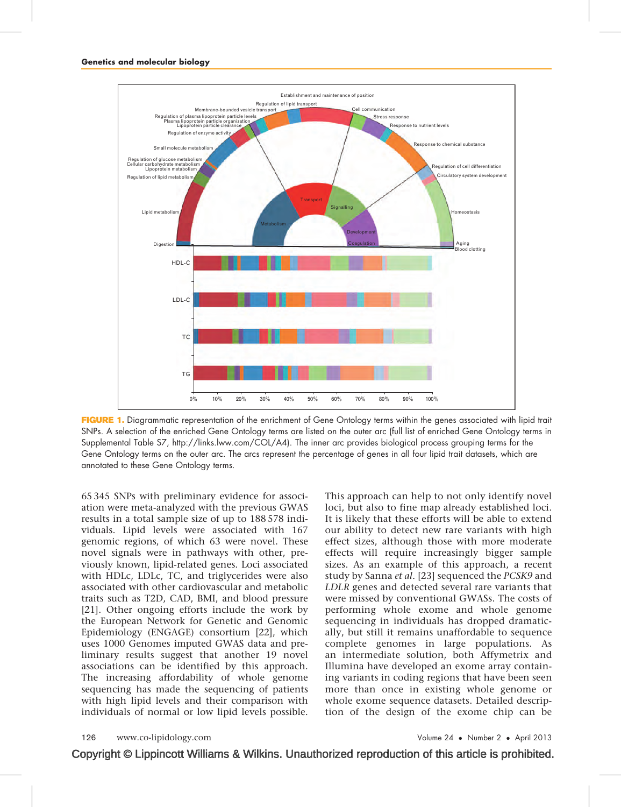

FIGURE 1. Diagrammatic representation of the enrichment of Gene Ontology terms within the genes associated with lipid trait SNPs. A selection of the enriched Gene Ontology terms are listed on the outer arc (full list of enriched Gene Ontology terms in Supplemental Table S7, [http://links.lww.com/COL/A4\)](mailto:f.drenos@ucl.ac.uk). The inner arc provides biological process grouping terms for the Gene Ontology terms on the outer arc. The arcs represent the percentage of genes in all four lipid trait datasets, which are annotated to these Gene Ontology terms.

65 345 SNPs with preliminary evidence for association were meta-analyzed with the previous GWAS results in a total sample size of up to 188 578 individuals. Lipid levels were associated with 167 genomic regions, of which 63 were novel. These novel signals were in pathways with other, previously known, lipid-related genes. Loci associated with HDLc, LDLc, TC, and triglycerides were also associated with other cardiovascular and metabolic traits such as T2D, CAD, BMI, and blood pressure [\[21\].](#page-5-0) Other ongoing efforts include the work by the European Network for Genetic and Genomic Epidemiology (ENGAGE) consortium [\[22\]](#page-5-0), which uses 1000 Genomes imputed GWAS data and preliminary results suggest that another 19 novel associations can be identified by this approach. The increasing affordability of whole genome sequencing has made the sequencing of patients with high lipid levels and their comparison with individuals of normal or low lipid levels possible.

This approach can help to not only identify novel loci, but also to fine map already established loci. It is likely that these efforts will be able to extend our ability to detect new rare variants with high effect sizes, although those with more moderate effects will require increasingly bigger sample sizes. As an example of this approach, a recent study by Sanna et al. [\[23\]](#page-5-0) sequenced the PCSK9 and LDLR genes and detected several rare variants that were missed by conventional GWASs. The costs of performing whole exome and whole genome sequencing in individuals has dropped dramatically, but still it remains unaffordable to sequence complete genomes in large populations. As an intermediate solution, both Affymetrix and Illumina have developed an exome array containing variants in coding regions that have been seen more than once in existing whole genome or whole exome sequence datasets. Detailed description of the design of the exome chip can be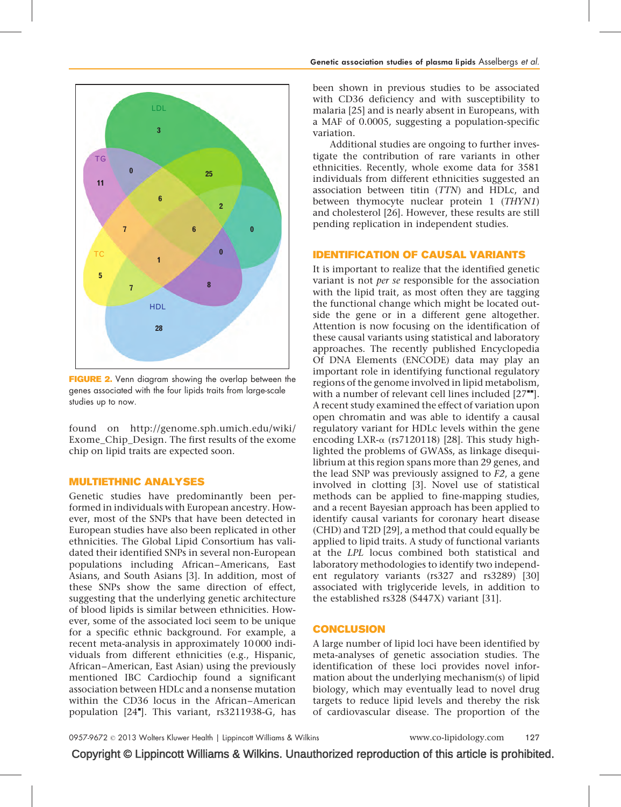

FIGURE 2. Venn diagram showing the overlap between the genes associated with the four lipids traits from large-scale studies up to now.

found on http://genome.sph.umich.edu/wiki/ Exome\_Chip\_Design. The first results of the exome chip on lipid traits are expected soon.

#### MULTIETHNIC ANALYSES

Genetic studies have predominantly been performed in individuals with European ancestry. However, most of the SNPs that have been detected in European studies have also been replicated in other ethnicities. The Global Lipid Consortium has validated their identified SNPs in several non-European populations including African–Americans, East Asians, and South Asians [\[3\]](#page-5-0). In addition, most of these SNPs show the same direction of effect, suggesting that the underlying genetic architecture of blood lipids is similar between ethnicities. However, some of the associated loci seem to be unique for a specific ethnic background. For example, a recent meta-analysis in approximately 10 000 individuals from different ethnicities (e.g., Hispanic, African–American, East Asian) using the previously mentioned IBC Cardiochip found a significant association between HDLc and a nonsense mutation within the CD36 locus in the African–American population [\[24](#page-5-0)"[\]](#page-5-0). This variant, rs3211938-G, has

been shown in previous studies to be associated with CD36 deficiency and with susceptibility to malaria [\[25\]](#page-5-0) and is nearly absent in Europeans, with a MAF of 0.0005, suggesting a population-specific variation.

Additional studies are ongoing to further investigate the contribution of rare variants in other ethnicities. Recently, whole exome data for 3581 individuals from different ethnicities suggested an association between titin (TTN) and HDLc, and between thymocyte nuclear protein 1 (THYN1) and cholesterol [\[26\]](#page-5-0). However, these results are still pending replication in independent studies.

## IDENTIFICATION OF CAUSAL VARIANTS

It is important to realize that the identified genetic variant is not per se responsible for the association with the lipid trait, as most often they are tagging the functional change which might be located outside the gene or in a different gene altogether. Attention is now focusing on the identification of these causal variants using statistical and laboratory approaches. The recently published Encyclopedia Of DNA Elements (ENCODE) data may play an important role in identifying functional regulatory regions of the genome involved in lipid metabolism, with a number of relevant cell lines included  $[27"$  $[27"$ . A recent study examined the effect of variation upon open chromatin and was able to identify a causal regulatory variant for HDLc levels within the gene encoding LXR- $\alpha$  (rs7120118) [\[28\].](#page-5-0) This study highlighted the problems of GWASs, as linkage disequilibrium at this region spans more than 29 genes, and the lead SNP was previously assigned to F2, a gene involved in clotting [\[3\].](#page-5-0) Novel use of statistical methods can be applied to fine-mapping studies, and a recent Bayesian approach has been applied to identify causal variants for coronary heart disease (CHD) and T2D [\[29\],](#page-5-0) a method that could equally be applied to lipid traits. A study of functional variants at the LPL locus combined both statistical and laboratory methodologies to identify two independent regulatory variants (rs327 and rs3289) [\[30\]](#page-5-0) associated with triglyceride levels, in addition to the established rs328 (S447X) variant [\[31\]](#page-5-0).

#### **CONCLUSION**

A large number of lipid loci have been identified by meta-analyses of genetic association studies. The identification of these loci provides novel information about the underlying mechanism(s) of lipid biology, which may eventually lead to novel drug targets to reduce lipid levels and thereby the risk of cardiovascular disease. The proportion of the

0957-9672 © 2013 Wolters Kluwer Health | Lippincott Williams & Wilkins www.co-lipidology.com 127

Copyright © Lippincott Williams & Wilkins. Unauthorized reproduction of this article is prohibited.